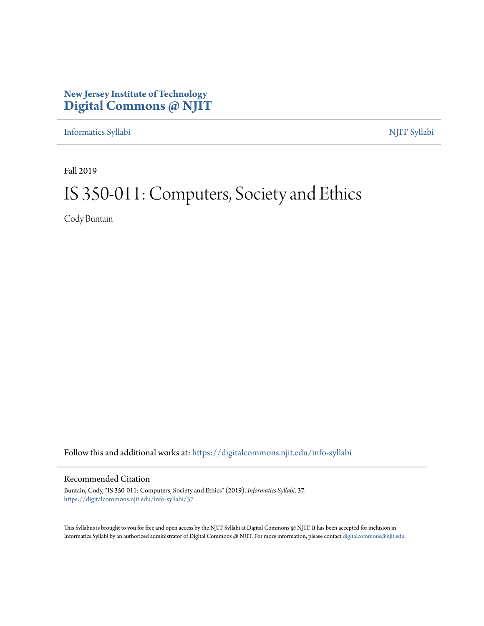## **New Jersey Institute of Technology [Digital Commons @ NJIT](https://digitalcommons.njit.edu/?utm_source=digitalcommons.njit.edu%2Finfo-syllabi%2F37&utm_medium=PDF&utm_campaign=PDFCoverPages)**

[Informatics Syllabi](https://digitalcommons.njit.edu/info-syllabi?utm_source=digitalcommons.njit.edu%2Finfo-syllabi%2F37&utm_medium=PDF&utm_campaign=PDFCoverPages) [NJIT Syllabi](https://digitalcommons.njit.edu/syllabi?utm_source=digitalcommons.njit.edu%2Finfo-syllabi%2F37&utm_medium=PDF&utm_campaign=PDFCoverPages)

Fall 2019

# IS 350-011: Computers, Society and Ethics

Cody Buntain

Follow this and additional works at: [https://digitalcommons.njit.edu/info-syllabi](https://digitalcommons.njit.edu/info-syllabi?utm_source=digitalcommons.njit.edu%2Finfo-syllabi%2F37&utm_medium=PDF&utm_campaign=PDFCoverPages)

#### Recommended Citation

Buntain, Cody, "IS 350-011: Computers, Society and Ethics" (2019). *Informatics Syllabi*. 37. [https://digitalcommons.njit.edu/info-syllabi/37](https://digitalcommons.njit.edu/info-syllabi/37?utm_source=digitalcommons.njit.edu%2Finfo-syllabi%2F37&utm_medium=PDF&utm_campaign=PDFCoverPages)

This Syllabus is brought to you for free and open access by the NJIT Syllabi at Digital Commons @ NJIT. It has been accepted for inclusion in Informatics Syllabi by an authorized administrator of Digital Commons @ NJIT. For more information, please contact [digitalcommons@njit.edu.](mailto:digitalcommons@njit.edu)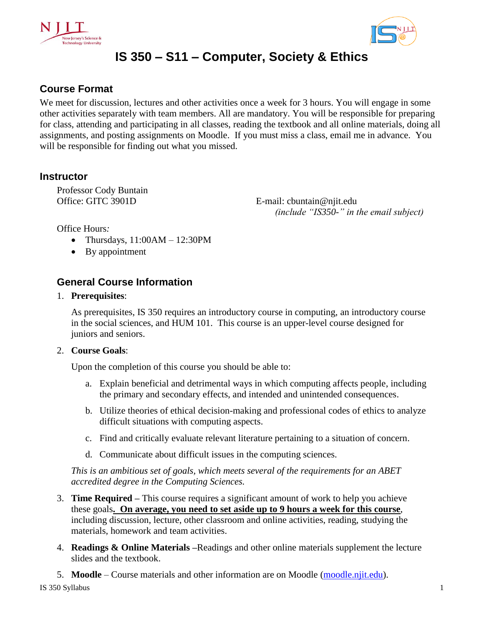



## **IS 350 – S11 – Computer, Society & Ethics**

## **Course Format**

We meet for discussion, lectures and other activities once a week for 3 hours. You will engage in some other activities separately with team members. All are mandatory. You will be responsible for preparing for class, attending and participating in all classes, reading the textbook and all online materials, doing all assignments, and posting assignments on Moodle. If you must miss a class, email me in advance. You will be responsible for finding out what you missed.

## **Instructor**

Professor Cody Buntain Office: GITC 3901D

E-mail: cbuntain@njit.edu  *(include "IS350-" in the email subject)* 

Office Hours*:*

- Thursdays,  $11:00AM 12:30PM$
- By appointment

## **General Course Information**

#### 1. **Prerequisites**:

As prerequisites, IS 350 requires an introductory course in computing, an introductory course in the social sciences, and HUM 101. This course is an upper-level course designed for juniors and seniors.

#### 2. **Course Goals**:

Upon the completion of this course you should be able to:

- a. Explain beneficial and detrimental ways in which computing affects people, including the primary and secondary effects, and intended and unintended consequences.
- b. Utilize theories of ethical decision-making and professional codes of ethics to analyze difficult situations with computing aspects.
- c. Find and critically evaluate relevant literature pertaining to a situation of concern.
- d. Communicate about difficult issues in the computing sciences.

*This is an ambitious set of goals, which meets several of the requirements for an ABET accredited degree in the Computing Sciences.* 

- 3. **Time Required –** This course requires a significant amount of work to help you achieve these goals**. On average, you need to set aside up to 9 hours a week for this course**, including discussion, lecture, other classroom and online activities, reading, studying the materials, homework and team activities.
- 4. **Readings & Online Materials –**Readings and other online materials supplement the lecture slides and the textbook.
- 5. **Moodle** Course materials and other information are on Moodle [\(moodle.njit.edu\)](http://moodle.njit.edu/).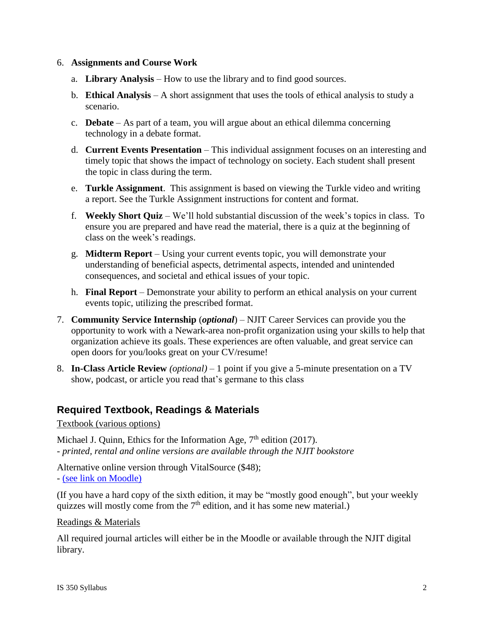#### 6. **Assignments and Course Work**

- a. **Library Analysis** How to use the library and to find good sources.
- b. **Ethical Analysis** A short assignment that uses the tools of ethical analysis to study a scenario.
- c. **Debate** As part of a team, you will argue about an ethical dilemma concerning technology in a debate format.
- d. **Current Events Presentation** This individual assignment focuses on an interesting and timely topic that shows the impact of technology on society. Each student shall present the topic in class during the term.
- e. **Turkle Assignment**. This assignment is based on viewing the Turkle video and writing a report. See the Turkle Assignment instructions for content and format.
- f. **Weekly Short Quiz** We'll hold substantial discussion of the week's topics in class. To ensure you are prepared and have read the material, there is a quiz at the beginning of class on the week's readings.
- g. **Midterm Report**  Using your current events topic, you will demonstrate your understanding of beneficial aspects, detrimental aspects, intended and unintended consequences, and societal and ethical issues of your topic.
- h. **Final Report**  Demonstrate your ability to perform an ethical analysis on your current events topic, utilizing the prescribed format.
- 7. **Community Service Internship** (*optional*) NJIT Career Services can provide you the opportunity to work with a Newark-area non-profit organization using your skills to help that organization achieve its goals. These experiences are often valuable, and great service can open doors for you/looks great on your CV/resume!
- 8. **In-Class Article Review** *(optional)* 1 point if you give a 5-minute presentation on a TV show, podcast, or article you read that's germane to this class

## **Required Textbook, Readings & Materials**

Textbook (various options)

Michael J. Quinn, Ethics for the Information Age, 7<sup>th</sup> edition (2017). *- printed, rental and online versions are available through the NJIT bookstore*

Alternative online version through VitalSource (\$48); - [\(see link on Moodle\)](https://www.vitalsource.com/products/ethics-for-the-information-age-michael-j-quinn-v9780134296623)

(If you have a hard copy of the sixth edition, it may be "mostly good enough", but your weekly quizzes will mostly come from the  $7<sup>th</sup>$  edition, and it has some new material.)

Readings & Materials

All required journal articles will either be in the Moodle or available through the NJIT digital library.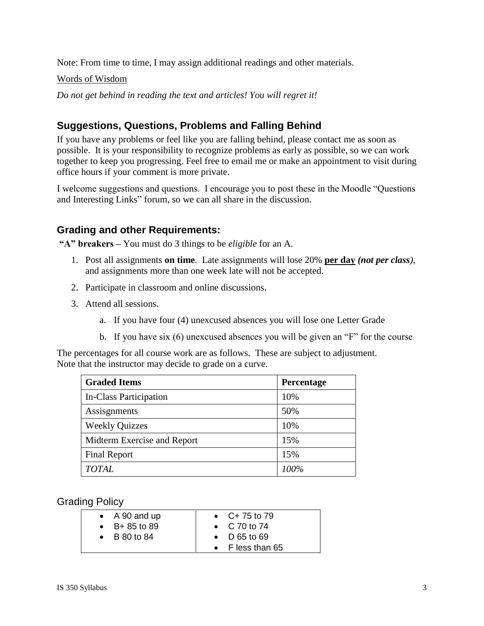Note: From time to time, I may assign additional readings and other materials.

#### Words of Wisdom

*Do not get behind in reading the text and articles! You will regret it!*

## **Suggestions, Questions, Problems and Falling Behind**

If you have any problems or feel like you are falling behind, please contact me as soon as possible. It is your responsibility to recognize problems as early as possible, so we can work together to keep you progressing. Feel free to email me or make an appointment to visit during office hours if your comment is more private.

I welcome suggestions and questions. I encourage you to post these in the Moodle "Questions and Interesting Links" forum, so we can all share in the discussion.

## **Grading and other Requirements:**

**"A" breakers –** You must do 3 things to be *eligible* for an A.

- 1. Post all assignments **on time**. Late assignments will lose 20% **per day** *(not per class),* and assignments more than one week late will not be accepted.
- 2. Participate in classroom and online discussions.
- 3. Attend all sessions.
	- a. If you have four (4) unexcused absences you will lose one Letter Grade
	- b. If you have six (6) unexcused absences you will be given an "F" for the course

The percentages for all course work are as follows. These are subject to adjustment. Note that the instructor may decide to grade on a curve.

| <b>Graded Items</b>         | Percentage |
|-----------------------------|------------|
| In-Class Participation      | 10%        |
| Assisgnments                | 50%        |
| <b>Weekly Quizzes</b>       | 10%        |
| Midterm Exercise and Report | 15%        |
| <b>Final Report</b>         | 15%        |
| <b>TOTAL</b>                | 100%       |

Grading Policy

| $\bullet$ A 90 and up | • $C+75$ to 79       |
|-----------------------|----------------------|
| • $B + 85$ to 89      | • $C$ 70 to 74       |
| $\bullet$ B 80 to 84  | $\bullet$ D 65 to 69 |
|                       | • F less than 65     |
|                       |                      |